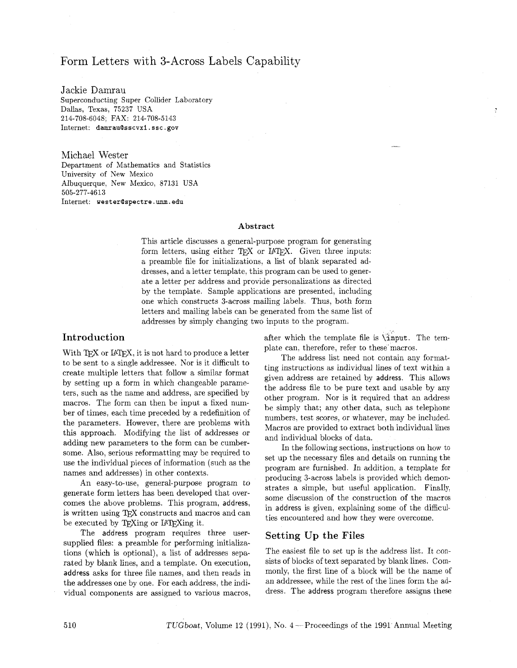# Form Letters with 3-Across Labels Capability

Jackie Damrau Superconducting Super Collider Laboratory Dallas, Texas, 75237 USA 214-708-6048; FAX: 214-708-5143 Internet: damrau@sscvx1.ssc.gov

Michael Wester Department of Mathematics and Statistics University of New Mexico Albuquerque, New Mexico, 87131 USA 505-277-4613 Internet: wester@spectre.unm.edu

#### Abstract

This article discusses a general-purpose program for generating form letters, using either TEX or IATEX. Given three inputs: a preamble file for initializations, a list of blank separated addresses, and a letter template, this program can be used to generate a letter per address and provide personalizations as directed by the template. Sample applications are presented, including one which constructs 3-across mailing labels. Thus, both form letters and mailing labels can be generated from the same list of addresses by simply changing two inputs to the program.

### Introduction

With TFX or IATFX, it is not hard to produce a letter to be sent to a single addressee. Nor is it difficult to create multiple letters that follow a similar format by setting up a form in which changeable parameters, such as the name and address, are specified by macros. The form can then be input a fixed number of times, each time preceded by a redefinition of the parameters. However, there are problems with this approach. Modifying the list of addresses or adding new parameters to the form can be cumbersome. Also, serious reformatting may be required to use the individual pieces of information (such as the names and addresses) in other contexts.

An easy-to-use, general-purpose program to generate form letters has been developed that overcomes the above problems. This program, address, is written using TFX constructs and macros and can be executed by TEXing or IATEXing it.

The address program requires three usersupplied files: a preamble for performing initializations (which is optional), a list of addresses separated by blank lines, and a template. On execution, address asks for three file names, and then reads in the addresses one by one. For each address. the individual components are assigned to various macros, after which the template file is **\hput.** The template can, therefore, refer to these'macros.

The address list need not contain any formatting instructions as individual lines of text within a given address are retained by address. This allows the address file to be pure text and usable by any other program. Nor is it required that an address be simply that; any other data, such as telephone numbers, test scores, or whatever, may be included. Macros are provided to extract both individual lines and individual blocks of data.

In the following sections, instructions on how to set up the necessary files and details on running the program are furnished. In addition, a template for producing 3-across labels is provided which demonstrates a simple, but useful application. Finally, some discussion of the construction of the macros in address is given, explaining some of the difficulties encountered and how they were overcome.

### Setting Up the Files

The easiest file to set up is the address list. It consists of blocks of text separated by blank lines. Commonly, the first line of a block will be the name of an addressee, while the rest of the lines form the address. The address program therefore assigns these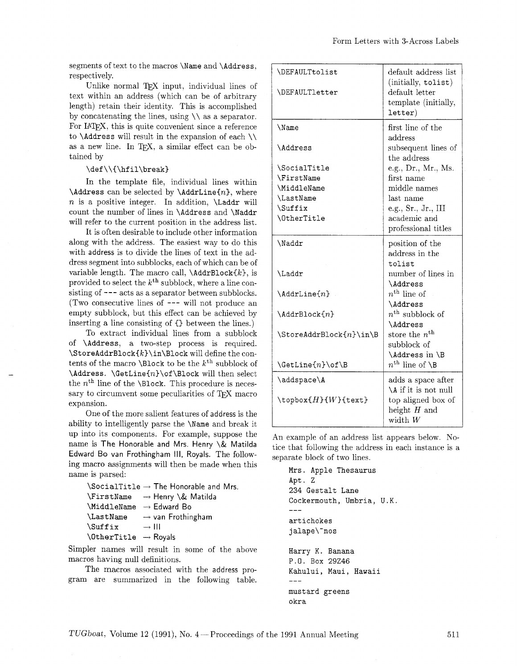segments of text to the macros **\Name** and **\Address.**  respectively.

Unlike normal  $TFX$  input, individual lines of text within an address (which can be of arbitrary length) retain their identity. This is accomplished by concatenating the lines, using  $\setminus \setminus$  as a separator. For IAT<sub>F</sub>X, this is quite convenient since a reference to **\Address** will result in the expansion of each  $\setminus \setminus$ as a new line. In T<sub>F</sub>X, a similar effect can be obtained by

#### **\def\\C\hfil\breakl**

In the template file, individual lines within **\Address** can be selected by **\AddrLine{n}**, where **n** is a positive integer. In addition. **\Laddr** will count the number of lines in **\Address** and **\Naddr**  will refer to the current position in the address list.

It is often desirable to include other information along with the address. The easiest way to do this with address is to divide the lines of text in the address segment into subblocks, each of which can be of variable length. The macro call,  $\AdarBlock{k}$ , is provided to select the *kth* subblock, where a line consisting of --- acts as a separator between subblocks. (Two consecutive lines of --- will not produce an empty subblock, but this effect can be achieved by inserting a line consisting of **Cl** between the lines.)

To extract individual lines from a subblock of **\Address,** a two-step process is required. **\StoreAddrBlock(k)\in\Block** will define the contents of the macro **\Block** to be the  $k^{\text{th}}$  subblock of \Address. \GetLine{n}\of\Block will then select the  $n<sup>th</sup>$  line of the **\Block**. This procedure is necessary to circumvent some peculiarities of TEX macro expansion.

One of the more salient features of address is the ability to intelligently parse the **\Name** and break it up into its components. For example, suppose the name is The Honorable and Mrs. Henry \& Matilda Edward Bo van Frothingham Ill, Royals. The following macro assignments will then be made when this name is parsed:

|                                    |                   | $\SociallTitle \rightarrow The Honorable and Mrs.$   |
|------------------------------------|-------------------|------------------------------------------------------|
|                                    |                   | $\forall$ FirstName $\rightarrow$ Henry $\&$ Matilda |
| \MiddleName                        |                   | $\rightarrow$ Edward Bo                              |
| <b>LastName</b>                    |                   | $\rightarrow$ van Frothingham                        |
| <i><b>Suffix</b></i>               | $\rightarrow$ III |                                                      |
| $\theta \rightarrow \text{Royals}$ |                   |                                                      |
|                                    |                   |                                                      |

Simpler names will result in some of the above macros having null definitions.

The macros associated with the address program are summarized in the following table.

| <b>\DEFAULTtolist</b><br><b>\DEFAULTletter</b>                                                                            | default address list<br>(initially, tolist)<br>default letter<br>template (initially,<br>letter)                                                                                                   |
|---------------------------------------------------------------------------------------------------------------------------|----------------------------------------------------------------------------------------------------------------------------------------------------------------------------------------------------|
| \Name<br><i>\Address</i><br>\SocialTitle<br><b>\FirstName</b><br>\MiddleName<br><b>LastName</b><br>\Suffix<br>\0therTitle | first line of the<br>address<br>subsequent lines of<br>the address<br>e.g., Dr., Mr., Ms.<br>first name<br>middle names<br>last name<br>e.g., Sr., Jr., III<br>academic and<br>professional titles |
| <i>Naddr</i>                                                                                                              | position of the<br>address in the<br>tolist                                                                                                                                                        |
| \Laddr                                                                                                                    | number of lines in<br><i>Address</i>                                                                                                                                                               |
| $\Lambda$ ddrLine $\{n\}$                                                                                                 | $n^{\text{th}}$ line of<br><i>Address</i>                                                                                                                                                          |
| $\Lambda$ ddrBlock $\{n\}$                                                                                                | $n^{\text{th}}$ subblock of<br><i>Address</i>                                                                                                                                                      |
| $\Set{n}{in \mathbb{B}}$                                                                                                  | store the $n^{\rm th}$<br>subblock of<br>\Address in \B                                                                                                                                            |
| $\Set{n}\of \B$                                                                                                           | $n^{\text{th}}$ line of $\setminus$ B                                                                                                                                                              |
| \addspace\A<br>$\setminus$ topbox $\{H\}$ { $W$ }{text}                                                                   | adds a space after<br>\A if it is not null<br>top aligned box of<br>height $H$ and<br>width $W$                                                                                                    |

An example of an address list appears below. Notice that following the address in each instance is a separate block of two lines.

**Mrs. Apple Thesaurus Apt.** Z 234 **Gestalt Lane Cockermouth, Umbria, U.K.**   $--$ **artichokes jalape\"nos Harry** K. **Banana P.O. Box** 29246 **Kahului, Maui** , **Hawaii** 

 $\qquad \qquad -$ **mustard greens okra**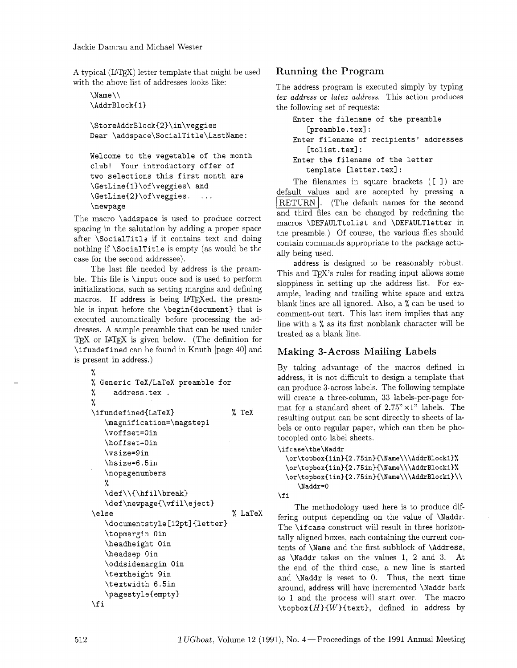A typical (IATEX) letter template that might be used with the above list of addresses looks like:

```
\langle Name\langle \rangle\AddrBlock{1}
\StoreAddrBlock{2)\in\veggies 
Dear \addspace\SocialTitle\LastName: 
Welcome to the vegetable of the month 
club! Your introductory offer of 
two selections this first month are 
\GetLine{l)\of\veggies\ and 
\GetLine{2)\of\veggies. ... 
\newpage
```
The macro **\addspace** is used to produce correct spacing in the salutation by adding a proper space after **\SocialTitl2** if it contains text and doing nothing if **\SocialTitle** is empty (as would be the case for the second addressee).

The last file needed by address is the preamble. This file is **\input** once and is used to perform initializations, such as setting margins and defining macros. If address is being IATFXed, the preamble is input before the **\begin{document)** that is executed automatically before processing the addresses. A sample preamble that can be used under TFX or IATFX is given below. (The definition for **\ifundefined** can be found in Knuth [page 40] and is present in address.)

```
% 
% Generic TeXjLaTeX preamble for 
% address.tex . 
% 
\ifundefined{LaTeX) % TeX 
   \magnification=\magstepl 
   \vof f set=Oin 
   \hof f set=Oin 
   \vsize=gin 
   \hsize=6.5in 
   \nopagenumbers 
   % 
   \def \\{\hf il\break) 
   \def\newpage{\vfil\eject) 
\else % LaTeX 
   \documentstyle [12pt] {letter) 
   \t opmargin Oin 
   \headheight Oin 
   \headsep Oin 
   \oddsidemargin Oin 
   \textheight gin 
   \textwidth 6.5in 
   \pagestyle{empty) 
\f i
```
## Running the Program

The address program is executed simply by typing *tex address* or *latex address.* This action produces the following set of requests:

```
Enter the filename of the preamble 
   [preamble.tex]:
Enter filename of recipients' addresses 
   [tolist.tex]:
Enter the filename of the letter 
   template [letter.tex] :
```
The filenames in square brackets ([ I) are Enter the Tite<br>template [1]<br>The filenames if<br>default values and<br>RETURN. (The 4<br>and third files can b default values and are accepted by pressing a **RETURN**. (The default names for the second and third files can be changed by redefining the macros **\DEFAULTtolist** and **\DEFAULTletter** in the preamble.) Of course, the various files should contain commands appropriate to the package actually being used.

address is designed to be reasonably robust. This and T<sub>F</sub>X's rules for reading input allows some sloppiness in setting up the address list. For example, leading and trailing white space and extra blank lines are all ignored. Also, a % can be used to comment-out text. This last item implies that any line with a % as its first nonblank character will be treated as a blank line.

# Making 3-Across Mailing Labels

By taking advantage of the macros defined in address, it is not difficult to design a template that can produce 3-across labels. The following template will create a three-column, 33 labels-per-page format for a standard sheet of  $2.75" \times 1"$  labels. The resulting output can be sent directly to sheets of labels or onto regular paper, which can then be photocopied onto label sheets.

```
\ifcase\the\Naddr
```

```
\or\topbox{lin){2.75in){\Name\\\AddrB1ockl~% 
  \or\topbox{lin){2.75in){\Name\\\AddrBlockl)% 
 \or\topbox{1in}{2.75in}{\Name\\\AddrBlock1}\\
     \Naddr=O 
\chi i
```
The methodology used here is to produce differing output depending on the value of **\Naddr.**  The **\if case** construct will result in three horizontally aligned boxes, each containing the current contents of **\Name** and the first subblock of **\Address,**  as **\Naddr** takes on the values 1, 2 and 3. At the end of the third case, a new line is started and **\Naddr** is reset to 0. Thus, the next time around, address will have incremented **\Naddr** back to 1 and the process will start over. The macro **\topbox{H){W){text),** defined in address by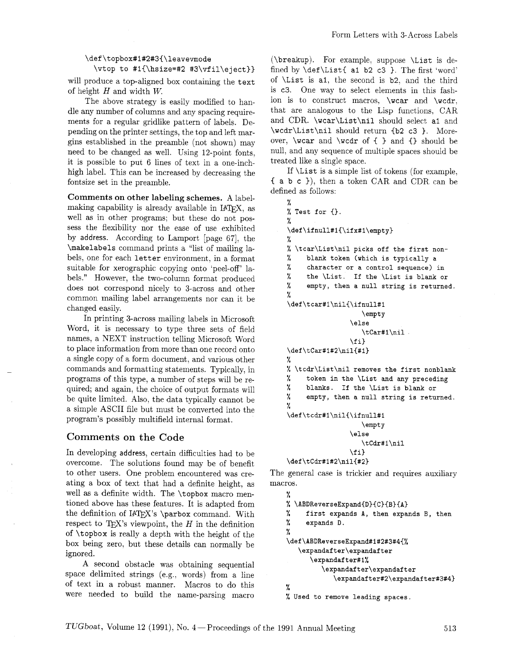### \def\topbox#1#2#3{\leavevmode  $\v{vtop to #1{\hsize=#2 #3\vf1\eeject}}$

will produce a top-aligned box containing the text of height H and width *W.* 

The above strategy is easily modified to handle any number of columns and any spacing requirements for a regular gridlike pattern of labels. Depending on the printer settings, the top and left margins established in the preamble (not shown) may need to be changed as well. Using 12-point fonts, it is possible to put 6 lines of text in a one-inchhigh label. This can be increased by decreasing the fontsize set in the preamble.

Comments on other labeling schemes. A labelmaking capability is already available in IATEX, as well as in other programs; but these do not possess the flexibility nor the ease of use exhibited by address. According to Lamport [page 67], the \makelabels command prints a "list of mailing labels, one for each letter environment, in a format suitable for xerographic copying onto 'peel-off' labels." However, the two-column format produced does not correspond nicely to 3-across and other common mailing label arrangements nor can it be changed easily.

In printing 3-across mailing labels in Microsoft Word, it is necessary to type three sets of field names, a NEXT instruction telling Microsoft Word to place information from more than one record onto a single copy of a form document, and various other commands and formatting statements. Typically, in programs of this type, a number of steps will be required; and again, the choice of output formats will be quite limited. Also, the data typically cannot be a simple ASCII file but must be converted into the program's possibly multifield internal format.

# Comments on the Code

In developing address, certain difficulties had to be overcome. The solutions found may be of benefit to other users. One problem encountered was creating a box of text that had a definite height, as well as a definite width. The \topbox macro mentioned above has these features. It is adapted from the definition of IATEX's \parbox command. With respect to T<sub>E</sub>X's viewpoint, the  $H$  in the definition of \topbox is really a depth with the height of the box being zero, but these details can normally be ignored.

A second obstacle was obtaining sequential space delimited strings (e.g., words) from a line of text in a robust manner. Macros to do this were needed to build the name-parsing macro

(\breakup). For example, suppose \List is defined by  $\det\List{ a1 b2 c3 }$ . The first 'word' of \List is al, the second is b2, and the third is c3. One way to select elements in this fashion is to construct macros, \wcar and \wcdr, that are analogous to the Lisp functions, CAR and CDR. \wcar\List\nil should select a1 and \wcdr\List\nil should return (b2 c3 ). Moreover, \wcar and \wcdr of { } and *{}* should be null, and any sequence of multiple spaces should be treated like a single space.

If \List is a simple list of tokens (for example, <sup>C</sup>a b c **I),** then a token CAR and CDR can be defined as follows:

```
% 
% Test for {). 
% 
\def\ifnull#l{\ifx#l\empty) 
% 
% \tcar\List\nil picks off the first non- 
% blank token (which is typically a 
% character or a control sequence) in 
% the \List. If the \List is blank or 
% empty, then a null string is returned. 
% 
\def \tcar#l\nil{\ifnull#l 
                   \empty 
                \else 
                   \tCar#l\nil 
                \f i} 
\def\tCar#1#2\nil{#1) 
% 
% \tcdr\List\nil removes the first nonblank 
% token in the \List and any preceding 
% blanks. If the \List is blank or 
% empty, then a null string is returned. 
% 
\def\tcdr#l\nilC\ifnull#l 
                   \empty
                \else
                   \tCdr#1\nil
                \fi}
\def\tCdr#1#2\nil{#2}
```
The general case is trickier and requires auxiliary macros.

```
γ.
% \ABDReverseExpand{D}{C}{B}{A}
% first expands A, then expands B, then 
% expands D. 
% 
\def\ABDReverseExpand#1#2#3#4{% 
   \expandaf ter\expandaf ter 
      \expandafter#l% 
         \expandaf ter\expandaf ter 
            \expandaf ter#2\expandaf ter#3#4) 
% 
% Used to remove leading spaces.
```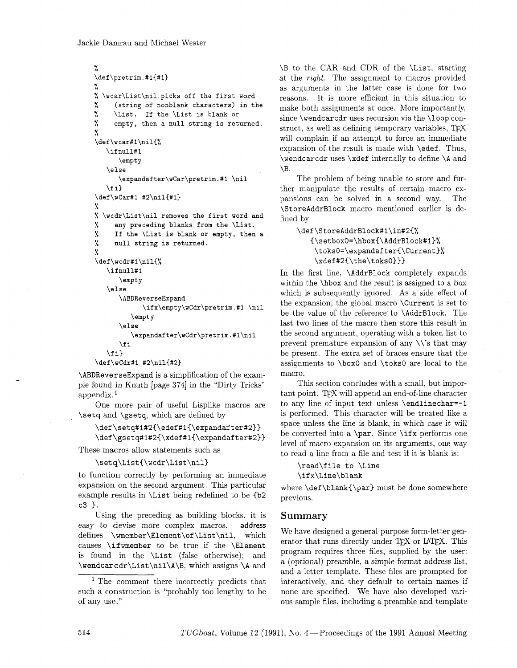### Jackie Damrau and Michael Wester

```
% 
\def \pretrim.#l{#l) 
% 
% \wcar\List\nil picks off the first word 
% (string of nonblank characters) in the 
% \List. If the \List is blank or 
% empty, then a null string is returned. 
% 
\def\wcar#l\nil{% 
   \if null#l 
      \empty 
   \else 
      \expandafter\wCar\pretrim.#l \nil 
   \f i) 
\def \wCar#i #2\nil{#l) 
% 
% \wcdr\List\nil removes the first word and 
% any preceding blanks from the \List. 
% If the \List is blank or empty, then a 
% null string is returned. 
% 
\def\wcdr#l\nil{% 
   \if null#l 
       \empty 
   \else 
       \ABDReverseExpand 
             \if x\empty\wCdr\pretrim. #l \nil 
          \empty 
       \else 
          \expandaf ter\wCdr\pretrim. #l\nil 
      \fi 
   \{f_i\}\def\wCdr#l #2\nil{#2)
```
**\ABDReverseExpand** is a simplification of the example found in Knuth [page 374] in the "Dirty Tricks" appendix.<sup>1</sup>

One more pair of useful Lisplike macros are **\setq** and **\gsetq,** which are defined by

\def\setq#1#2{\edef#1{\expandafter#2}} \def\gsetq#1#2{\xdef#1{\expandafter#2}}

These macros allow statements such as

\setq\List{\wcdr\List\nil}

to function correctly by performing an immediate expansion on the second argument. This particular example results in **\List** being redefined to be  $\{b2$ **c3** *1.* 

Using the preceding as building blocks, it is easy to devise more complex macros. address defines **\wmember\Element\of \List\nil,** which causes **\ifmember** to be true if the **\Element**  is found in the **\List** (false otherwise); and **\wendcarcdr\List\nil\A\B,** which assigns **\A** and **\B** to the **CAR** and CDR of the **\List,** starting at the *right*. The assignment to macros provided as arguments in the latter case is done for two reasons. It is more efficient in this situation to make both assignments at once. More importantly. since **\wendcarcdr** uses recursion via the **\loop** construct, as well as defining temporary variables, will complain if an attempt to force an immediate expansion of the result is made with **\edef.** Thus, **\wendcarcdr** uses **\xdef** internally to define **\A** and  $\mathbf{R}$ 

The problem of being unable to store and further manipulate the results of certain macro expansions can be solved in a second way. The **\StoreAddrBlock** macro mentioned earlier is defined by

**\def\StoreAddrBlock#l\in#2(% {\setboxO=\hbox~\AddrBlock#l~% \toksO=\expandafter{\Current)%**  \xdef#2{\the\toks0}}}

In the first line, **\AddrBlock** completely expands within the **\hbox** and the result is assigned to a box which is subsequently ignored. As a side effect of the expansion, the global macro **\Current** is set to be the value of the reference to **\AddrBlock.** The last two lines of the macro then store this result in the second argument, operating with a token list to prevent premature expansion of any  $\setminus$ 's that may be present. The extra set of braces ensure that the assignments to **\box0** and **\toksO** are local to the macro.

This section concludes with a small, but important point. TEX will append an end-of-line character to any line of input text unless **\endlinechar=-1**  is performed. This character will be treated like a space unless the line is blank, in which case it will be converted into a **\par.** Since **\ifx** performs one level of macro expansion on its arguments, one way to read a line from a file and test if it is blank is:

**\read\file to \Line \if x\Line\blank** 

where **\def\blank{\par}** must be done somewhere previous.

### Summary

We have designed a general-purpose form-letter generator that runs directly under  $TFX$  or  $IATFX$ . This program requires three files, supplied by the user: a (optional) preamble, a simple format address list, and a letter template. These files are prompted for interactively, and they default to certain names if none are specified. We have also developed various sample files, including a preamble and template

<sup>&</sup>lt;sup>1</sup> The comment there incorrectly predicts that such a construction is "probably too lengthy to be of any use."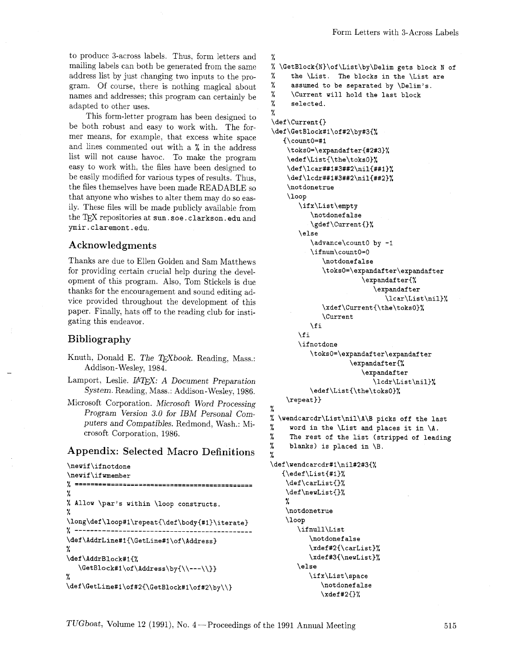to produce 3-across labels. Thus, form letters and mailing labels can both be generated from the same address list by just changing two inputs to the program. Of course, there is nothing magical about names and addresses; this program can certainly be adapted to other uses.

This form-letter program has been designed to be both robust and easy to work with. The former means; for example, that excess white space and lines commented out with a % in the address list will not cause havoc. To make the program easy to work with, the files have been designed to be easily modified for various types of results. Thus, the files themselves have been made READABLE so that anyone who wishes to alter them may do so easily. These files will be made publicly available from the TEX repositories at sun. soe. clarkson. edu and ymir.claremont.edu.

### **Acknowledgments**

Thanks are due to Ellen Golden and Sam Matthews for providing certain crucial help during the development of this program. Also, Tom Stickels is due thanks for the encouragement and sound editing advice provided throughout the development of this paper. Finally, hats off to the reading club for instigating this endeavor.

## **Bibliography**

- Knuth, Donald E. The TEXbook. Reading, Mass.: Addison-Wesley, 1984.
- Lamport, Leslie. *LATEX: A Document Preparation* System. Reading, Mass.: Addison-Wesley, 1986.
- Microsoft Corporation. Microsoft Word Processing Program Version 3.0 for *IBM* Personal Computers and Compatibles. Redmond, Wash.: Microsoft Corporation, 1986.

# **Appendix: Selected Macro Definitions**

```
\newif \ifnotdone 
\newif\ifwmember 
7----------=---------------------------------- ...................... 
 % 
% Allow \par's within \loop constructs. 
 % 
\long\def \loop#l\repeat{\def \body{#l)\iterate) 
7............................................. 
\def \AddrLine#l{\GetLine#l\of \Address) 
% 
\def\AddrBlock#l{% 
   \GetBlock#l\of\Address\by{\\---\\I) 
% 
\def\GetLine#1\of#2{\GetBlock#1\of#2\by\\}
```

```
% 
% \GetBlock{N)\of\List\by\Delim gets block N of 
% the \List. The blocks in the \List are 
% assumed to be separated by \Dellm's. 
% \Current will hold the last block 
% selected. 
% 
\def \Current{) 
\def\GetBlock#l\of#2\by#3{% 
   \{\gamma\count0=1\toks0=\expandafter{#2#3}%
    \edef\List{\the\toksO)% 
    \def\lcar##1#3##2\nil{##1}%
    \def\lcdr##1#3##2\ni1{##2)% 
    \not donetrue 
    \loop 
       \ifx\List\empty 
           \notdonef alse 
           \gdef\Current{)% 
       \else 
           \advance\countO by -1 
           \ifnum\countO=O 
              \notdonef alse 
              \toksO=\expandafter\expandafter 
                         \expandaf ter{% 
                            \expandaf ter 
                               \lcar\List\nil)% 
              \xdef \Current{\the\toks0)% 
              \Current 
           \f i 
       \fi 
       \ifnotdone 
           \toksO=\expandaf ter\expandaf ter 
                     \expandaf ter{% 
                         \expandafter 
                            \lcdr\List\nil)% 
           \edef\List{\the\toks0}%
    \verb|\repeat}|% 
% \wendcarcdr\List\nil\A\B picks off the last 
% word in the \List and places it in \Lambda.
% The rest of the list (stripped of leading 
% blanks) is placed in \setminus B.
% 
\def\wendcarcdr#l\ni1#2#3(% 
   \{\eta(t)\\def\carList{}%
    \def\neuList{)% 
    % 
    \not donetrue 
    \loop 
       \ifnull\List
          \notdonef alse 
          \xdef#2{\carList)% 
          \xdef#3{\newList}%
       \else 
          \ifx\List\space
              \notdonefalse 
              \xdet 2{}%
```
TUGboat, Volume 12 (1991), No. 4 – Proceedings of the 1991 Annual Meeting